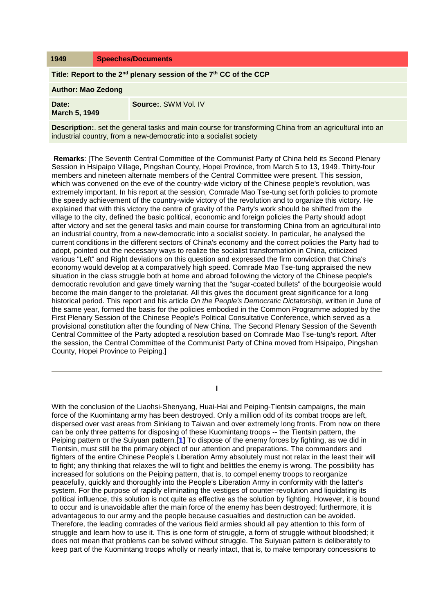### **Title: Report to the 2nd plenary session of the 7th CC of the CCP**

**Author: Mao Zedong** 

| Date:                | <b>Source:. SWM Vol. IV</b> |
|----------------------|-----------------------------|
| <b>March 5, 1949</b> |                             |

**Description:**. set the general tasks and main course for transforming China from an agricultural into an industrial country, from a new-democratic into a socialist society

**Remarks**: [The Seventh Central Committee of the Communist Party of China held its Second Plenary Session in Hsipaipo Village, Pingshan County, Hopei Province, from March 5 to 13, 1949. Thirty-four members and nineteen alternate members of the Central Committee were present. This session, which was convened on the eve of the country-wide victory of the Chinese people's revolution, was extremely important. In his report at the session, Comrade Mao Tse-tung set forth policies to promote the speedy achievement of the country-wide victory of the revolution and to organize this victory. He explained that with this victory the centre of gravity of the Party's work should be shifted from the village to the city, defined the basic political, economic and foreign policies the Party should adopt after victory and set the general tasks and main course for transforming China from an agricultural into an industrial country, from a new-democratic into a socialist society. In particular, he analysed the current conditions in the different sectors of China's economy and the correct policies the Party had to adopt, pointed out the necessary ways to realize the socialist transformation in China, criticized various "Left" and Right deviations on this question and expressed the firm conviction that China's economy would develop at a comparatively high speed. Comrade Mao Tse-tung appraised the new situation in the class struggle both at home and abroad following the victory of the Chinese people's democratic revolution and gave timely warning that the "sugar-coated bullets" of the bourgeoisie would become the main danger to the proletariat. All this gives the document great significance for a long historical period. This report and his article *On the People's Democratic Dictatorship,* written in June of the same year, formed the basis for the policies embodied in the Common Programme adopted by the First Plenary Session of the Chinese People's Political Consultative Conference, which served as a provisional constitution after the founding of New China. The Second Plenary Session of the Seventh Central Committee of the Party adopted a resolution based on Comrade Mao Tse-tung's report. After the session, the Central Committee of the Communist Party of China moved from Hsipaipo, Pingshan County, Hopei Province to Peiping.]

**I**

With the conclusion of the Liaohsi-Shenyang, Huai-Hai and Peiping-Tientsin campaigns, the main force of the Kuomintang army has been destroyed. Only a million odd of its combat troops are left, dispersed over vast areas from Sinkiang to Taiwan and over extremely long fronts. From now on there can be only three patterns for disposing of these Kuomintang troops -- the Tientsin pattern, the Peiping pattern or the Suiyuan pattern.**[\[1\]](http://www.etext.org/Politics/MIM/classics/mao/sw4/mswv4_58.html#bm1)** To dispose of the enemy forces by fighting, as we did in Tientsin, must still be the primary object of our attention and preparations. The commanders and fighters of the entire Chinese People's Liberation Army absolutely must not relax in the least their will to fight; any thinking that relaxes the will to fight and belittles the enemy is wrong. The possibility has increased for solutions on the Peiping pattern, that is, to compel enemy troops to reorganize peacefully, quickly and thoroughly into the People's Liberation Army in conformity with the latter's system. For the purpose of rapidly eliminating the vestiges of counter-revolution and liquidating its political influence, this solution is not quite as effective as the solution by fighting. However, it is bound to occur and is unavoidable after the main force of the enemy has been destroyed; furthermore, it is advantageous to our army and the people because casualties and destruction can be avoided. Therefore, the leading comrades of the various field armies should all pay attention to this form of struggle and learn how to use it. This is one form of struggle, a form of struggle without bloodshed; it does not mean that problems can be solved without struggle. The Suiyuan pattern is deliberately to keep part of the Kuomintang troops wholly or nearly intact, that is, to make temporary concessions to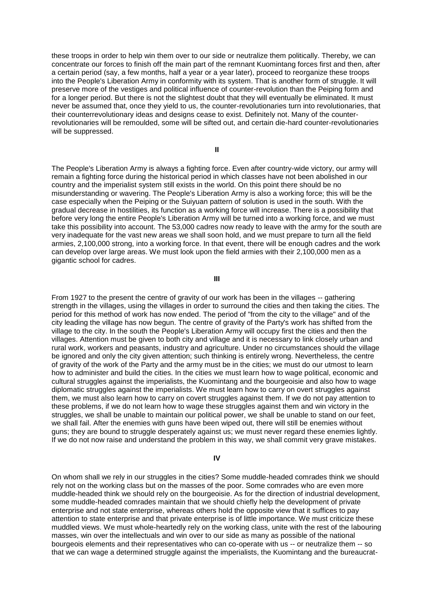these troops in order to help win them over to our side or neutralize them politically. Thereby, we can concentrate our forces to finish off the main part of the remnant Kuomintang forces first and then, after a certain period (say, a few months, half a year or a year later), proceed to reorganize these troops into the People's Liberation Army in conformity with its system. That is another form of struggle. It will preserve more of the vestiges and political influence of counter-revolution than the Peiping form and for a longer period. But there is not the slightest doubt that they will eventually be eliminated. It must never be assumed that, once they yield to us, the counter-revolutionaries turn into revolutionaries, that their counterrevolutionary ideas and designs cease to exist. Definitely not. Many of the counterrevolutionaries will be remoulded, some will be sifted out, and certain die-hard counter-revolutionaries will be suppressed.

**II**

The People's Liberation Army is always a fighting force. Even after country-wide victory, our army will remain a fighting force during the historical period in which classes have not been abolished in our country and the imperialist system still exists in the world. On this point there should be no misunderstanding or wavering. The People's Liberation Army is also a working force; this will be the case especially when the Peiping or the Suiyuan pattern of solution is used in the south. With the gradual decrease in hostilities, its function as a working force will increase. There is a possibility that before very long the entire People's Liberation Army will be turned into a working force, and we must take this possibility into account. The 53,000 cadres now ready to leave with the army for the south are very inadequate for the vast new areas we shall soon hold, and we must prepare to turn all the field armies, 2,100,000 strong, into a working force. In that event, there will be enough cadres and the work can develop over large areas. We must look upon the field armies with their 2,100,000 men as a gigantic school for cadres.

**III**

From 1927 to the present the centre of gravity of our work has been in the villages -- gathering strength in the villages, using the villages in order to surround the cities and then taking the cities. The period for this method of work has now ended. The period of "from the city to the village" and of the city leading the village has now begun. The centre of gravity of the Party's work has shifted from the village to the city. In the south the People's Liberation Army will occupy first the cities and then the villages. Attention must be given to both city and village and it is necessary to link closely urban and rural work, workers and peasants, industry and agriculture. Under no circumstances should the village be ignored and only the city given attention; such thinking is entirely wrong. Nevertheless, the centre of gravity of the work of the Party and the army must be in the cities; we must do our utmost to learn how to administer and build the cities. In the cities we must learn how to wage political, economic and cultural struggles against the imperialists, the Kuomintang and the bourgeoisie and also how to wage diplomatic struggles against the imperialists. We must learn how to carry on overt struggles against them, we must also learn how to carry on covert struggles against them. If we do not pay attention to these problems, if we do not learn how to wage these struggles against them and win victory in the struggles, we shall be unable to maintain our political power, we shall be unable to stand on our feet, we shall fail. After the enemies with guns have been wiped out, there will still be enemies without guns; they are bound to struggle desperately against us; we must never regard these enemies lightly. If we do not now raise and understand the problem in this way, we shall commit very grave mistakes.

**IV**

On whom shall we rely in our struggles in the cities? Some muddle-headed comrades think we should rely not on the working class but on the masses of the poor. Some comrades who are even more muddle-headed think we should rely on the bourgeoisie. As for the direction of industrial development, some muddle-headed comrades maintain that we should chiefly help the development of private enterprise and not state enterprise, whereas others hold the opposite view that it suffices to pay attention to state enterprise and that private enterprise is of little importance. We must criticize these muddled views. We must whole-heartedly rely on the working class, unite with the rest of the labouring masses, win over the intellectuals and win over to our side as many as possible of the national bourgeois elements and their representatives who can co-operate with us -- or neutralize them -- so that we can wage a determined struggle against the imperialists, the Kuomintang and the bureaucrat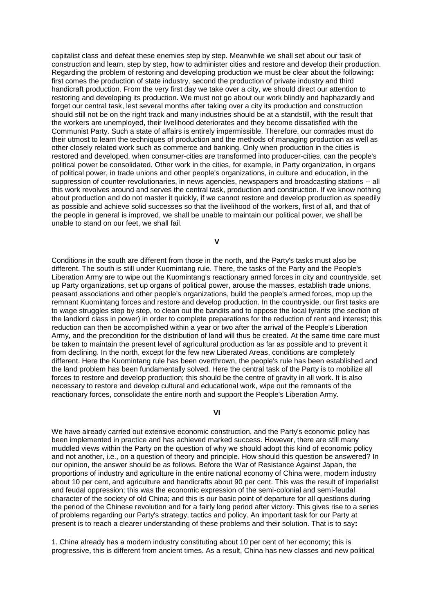capitalist class and defeat these enemies step by step. Meanwhile we shall set about our task of construction and learn, step by step, how to administer cities and restore and develop their production. Regarding the problem of restoring and developing production we must be clear about the following**:** first comes the production of state industry, second the production of private industry and third handicraft production. From the very first day we take over a city, we should direct our attention to restoring and developing its production. We must not go about our work blindly and haphazardly and forget our central task, lest several months after taking over a city its production and construction should still not be on the right track and many industries should be at a standstill, with the result that the workers are unemployed, their livelihood deteriorates and they become dissatisfied with the Communist Party. Such a state of affairs is entirely impermissible. Therefore, our comrades must do their utmost to learn the techniques of production and the methods of managing production as well as other closely related work such as commerce and banking. Only when production in the cities is restored and developed, when consumer-cities are transformed into producer-cities, can the people's political power be consolidated. Other work in the cities, for example, in Party organization, in organs of political power, in trade unions and other people's organizations, in culture and education, in the suppression of counter-revolutionaries, in news agencies, newspapers and broadcasting stations -- all this work revolves around and serves the central task, production and construction. If we know nothing about production and do not master it quickly, if we cannot restore and develop production as speedily as possible and achieve solid successes so that the livelihood of the workers, first of all, and that of the people in general is improved, we shall be unable to maintain our political power, we shall be unable to stand on our feet, we shall fail.

**V**

Conditions in the south are different from those in the north, and the Party's tasks must also be different. The south is still under Kuomintang rule. There, the tasks of the Party and the People's Liberation Army are to wipe out the Kuomintang's reactionary armed forces in city and countryside, set up Party organizations, set up organs of political power, arouse the masses, establish trade unions, peasant associations and other people's organizations, build the people's armed forces, mop up the remnant Kuomintang forces and restore and develop production. In the countryside, our first tasks are to wage struggles step by step, to clean out the bandits and to oppose the local tyrants (the section of the landlord class in power) in order to complete preparations for the reduction of rent and interest; this reduction can then be accomplished within a year or two after the arrival of the People's Liberation Army, and the precondition for the distribution of land will thus be created. At the same time care must be taken to maintain the present level of agricultural production as far as possible and to prevent it from declining. In the north, except for the few new Liberated Areas, conditions are completely different. Here the Kuomintang rule has been overthrown, the people's rule has been established and the land problem has been fundamentally solved. Here the central task of the Party is to mobilize all forces to restore and develop production; this should be the centre of gravity in all work. It is also necessary to restore and develop cultural and educational work, wipe out the remnants of the reactionary forces, consolidate the entire north and support the People's Liberation Army.

**VI**

We have already carried out extensive economic construction, and the Party's economic policy has been implemented in practice and has achieved marked success. However, there are still many muddled views within the Party on the question of why we should adopt this kind of economic policy and not another, i.e., on a question of theory and principle. How should this question be answered? In our opinion, the answer should be as follows. Before the War of Resistance Against Japan, the proportions of industry and agriculture in the entire national economy of China were, modern industry about 10 per cent, and agriculture and handicrafts about 90 per cent. This was the result of imperialist and feudal oppression; this was the economic expression of the semi-colonial and semi-feudal character of the society of old China; and this is our basic point of departure for all questions during the period of the Chinese revolution and for a fairly long period after victory. This gives rise to a series of problems regarding our Party's strategy, tactics and policy. An important task for our Party at present is to reach a clearer understanding of these problems and their solution. That is to say**:** 

1. China already has a modern industry constituting about 10 per cent of her economy; this is progressive, this is different from ancient times. As a result, China has new classes and new political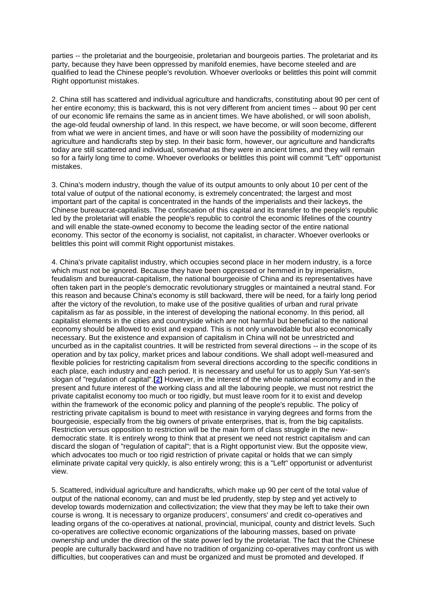parties -- the proletariat and the bourgeoisie, proletarian and bourgeois parties. The proletariat and its party, because they have been oppressed by manifold enemies, have become steeled and are qualified to lead the Chinese people's revolution. Whoever overlooks or belittles this point will commit Right opportunist mistakes.

2. China still has scattered and individual agriculture and handicrafts, constituting about 90 per cent of her entire economy; this is backward, this is not very different from ancient times -- about 90 per cent of our economic life remains the same as in ancient times. We have abolished, or will soon abolish, the age-old feudal ownership of land. In this respect, we have become, or will soon become, different from what we were in ancient times, and have or will soon have the possibility of modernizing our agriculture and handicrafts step by step. In their basic form, however, our agriculture and handicrafts today are still scattered and individual, somewhat as they were in ancient times, and they will remain so for a fairly long time to come. Whoever overlooks or belittles this point will commit "Left" opportunist mistakes.

3. China's modern industry, though the value of its output amounts to only about 10 per cent of the total value of output of the national economy, is extremely concentrated; the largest and most important part of the capital is concentrated in the hands of the imperialists and their lackeys, the Chinese bureaucrat-capitalists. The confiscation of this capital and its transfer to the people's republic led by the proletariat will enable the people's republic to control the economic lifelines of the country and will enable the state-owned economy to become the leading sector of the entire national economy. This sector of the economy is socialist, not capitalist, in character. Whoever overlooks or belittles this point will commit Right opportunist mistakes.

4. China's private capitalist industry, which occupies second place in her modern industry, is a force which must not be ignored. Because they have been oppressed or hemmed in by imperialism, feudalism and bureaucrat-capitalism, the national bourgeoisie of China and its representatives have often taken part in the people's democratic revolutionary struggles or maintained a neutral stand. For this reason and because China's economy is still backward, there will be need, for a fairly long period after the victory of the revolution, to make use of the positive qualities of urban and rural private capitalism as far as possible, in the interest of developing the national economy. In this period, all capitalist elements in the cities and countryside which are not harmful but beneficial to the national economy should be allowed to exist and expand. This is not only unavoidable but also economically necessary. But the existence and expansion of capitalism in China will not be unrestricted and uncurbed as in the capitalist countries. It will be restricted from several directions -- in the scope of its operation and by tax policy, market prices and labour conditions. We shall adopt well-measured and flexible policies for restricting capitalism from several directions according to the specific conditions in each place, each industry and each period. It is necessary and useful for us to apply Sun Yat-sen's slogan of "regulation of capital".**[\[2\]](http://www.etext.org/Politics/MIM/classics/mao/sw4/mswv4_58.html#bm2)** However, in the interest of the whole national economy and in the present and future interest of the working class and all the labouring people, we must not restrict the private capitalist economy too much or too rigidly, but must leave room for it to exist and develop within the framework of the economic policy and planning of the people's republic. The policy of restricting private capitalism is bound to meet with resistance in varying degrees and forms from the bourgeoisie, especially from the big owners of private enterprises, that is, from the big capitalists. Restriction versus opposition to restriction will be the main form of class struggle in the newdemocratic state. It is entirely wrong to think that at present we need not restrict capitalism and can discard the slogan of "regulation of capital"; that is a Right opportunist view. But the opposite view, which advocates too much or too rigid restriction of private capital or holds that we can simply eliminate private capital very quickly, is also entirely wrong; this is a "Left" opportunist or adventurist view.

5. Scattered, individual agriculture and handicrafts, which make up 90 per cent of the total value of output of the national economy, can and must be led prudently, step by step and yet actively to develop towards modernization and collectivization; the view that they may be left to take their own course is wrong. It is necessary to organize producers', consumers' and credit co-operatives and leading organs of the co-operatives at national, provincial, municipal, county and district levels. Such co-operatives are collective economic organizations of the labouring masses, based on private ownership and under the direction of the state power led by the proletariat. The fact that the Chinese people are culturally backward and have no tradition of organizing co-operatives may confront us with difficulties, but cooperatives can and must be organized and must be promoted and developed. If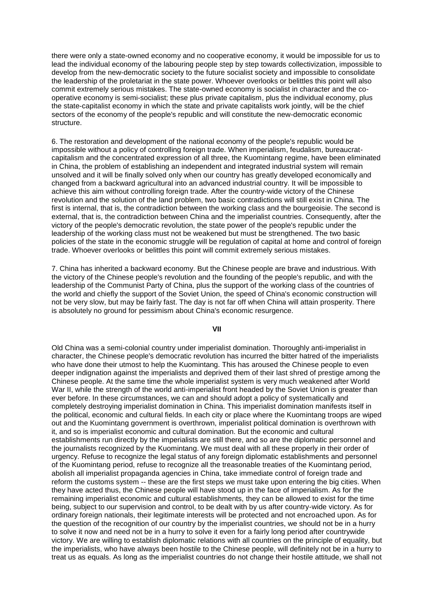there were only a state-owned economy and no cooperative economy, it would be impossible for us to lead the individual economy of the labouring people step by step towards collectivization, impossible to develop from the new-democratic society to the future socialist society and impossible to consolidate the leadership of the proletariat in the state power. Whoever overlooks or belittles this point will also commit extremely serious mistakes. The state-owned economy is socialist in character and the cooperative economy is semi-socialist; these plus private capitalism, plus the individual economy, plus the state-capitalist economy in which the state and private capitalists work jointly, will be the chief sectors of the economy of the people's republic and will constitute the new-democratic economic structure.

6. The restoration and development of the national economy of the people's republic would be impossible without a policy of controlling foreign trade. When imperialism, feudalism, bureaucratcapitalism and the concentrated expression of all three, the Kuomintang regime, have been eliminated in China, the problem of establishing an independent and integrated industrial system will remain unsolved and it will be finally solved only when our country has greatly developed economically and changed from a backward agricultural into an advanced industrial country. It will be impossible to achieve this aim without controlling foreign trade. After the country-wide victory of the Chinese revolution and the solution of the land problem, two basic contradictions will still exist in China. The first is internal, that is, the contradiction between the working class and the bourgeoisie. The second is external, that is, the contradiction between China and the imperialist countries. Consequently, after the victory of the people's democratic revolution, the state power of the people's republic under the leadership of the working class must not be weakened but must be strengthened. The two basic policies of the state in the economic struggle will be regulation of capital at home and control of foreign trade. Whoever overlooks or belittles this point will commit extremely serious mistakes.

7. China has inherited a backward economy. But the Chinese people are brave and industrious. With the victory of the Chinese people's revolution and the founding of the people's republic, and with the leadership of the Communist Party of China, plus the support of the working class of the countries of the world and chiefly the support of the Soviet Union, the speed of China's economic construction will not be very slow, but may be fairly fast. The day is not far off when China will attain prosperity. There is absolutely no ground for pessimism about China's economic resurgence.

### **VII**

Old China was a semi-colonial country under imperialist domination. Thoroughly anti-imperialist in character, the Chinese people's democratic revolution has incurred the bitter hatred of the imperialists who have done their utmost to help the Kuomintang. This has aroused the Chinese people to even deeper indignation against the imperialists and deprived them of their last shred of prestige among the Chinese people. At the same time the whole imperialist system is very much weakened after World War II, while the strength of the world anti-imperialist front headed by the Soviet Union is greater than ever before. In these circumstances, we can and should adopt a policy of systematically and completely destroying imperialist domination in China. This imperialist domination manifests itself in the political, economic and cultural fields. In each city or place where the Kuomintang troops are wiped out and the Kuomintang government is overthrown, imperialist political domination is overthrown with it, and so is imperialist economic and cultural domination. But the economic and cultural establishments run directly by the imperialists are still there, and so are the diplomatic personnel and the journalists recognized by the Kuomintang. We must deal with all these properly in their order of urgency. Refuse to recognize the legal status of any foreign diplomatic establishments and personnel of the Kuomintang period, refuse to recognize all the treasonable treaties of the Kuomintang period, abolish all imperialist propaganda agencies in China, take immediate control of foreign trade and reform the customs system -- these are the first steps we must take upon entering the big cities. When they have acted thus, the Chinese people will have stood up in the face of imperialism. As for the remaining imperialist economic and cultural establishments, they can be allowed to exist for the time being, subject to our supervision and control, to be dealt with by us after country-wide victory. As for ordinary foreign nationals, their legitimate interests will be protected and not encroached upon. As for the question of the recognition of our country by the imperialist countries, we should not be in a hurry to solve it now and need not be in a hurry to solve it even for a fairly long period after countrywide victory. We are willing to establish diplomatic relations with all countries on the principle of equality, but the imperialists, who have always been hostile to the Chinese people, will definitely not be in a hurry to treat us as equals. As long as the imperialist countries do not change their hostile attitude, we shall not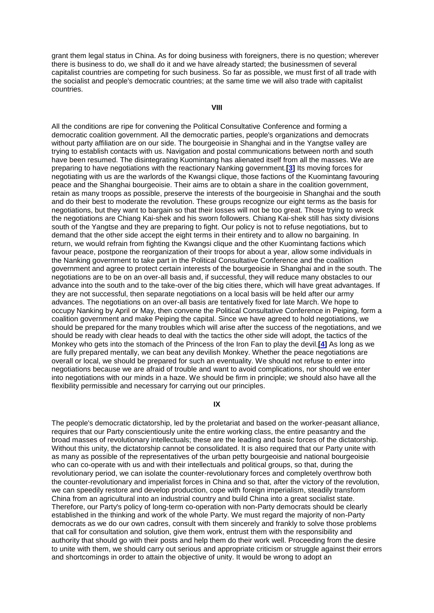grant them legal status in China. As for doing business with foreigners, there is no question; wherever there is business to do, we shall do it and we have already started; the businessmen of several capitalist countries are competing for such business. So far as possible, we must first of all trade with the socialist and people's democratic countries; at the same time we will also trade with capitalist countries.

#### **VIII**

All the conditions are ripe for convening the Political Consultative Conference and forming a democratic coalition government. All the democratic parties, people's organizations and democrats without party affiliation are on our side. The bourgeoisie in Shanghai and in the Yangtse valley are trying to establish contacts with us. Navigation and postal communications between north and south have been resumed. The disintegrating Kuomintang has alienated itself from all the masses. We are preparing to have negotiations with the reactionary Nanking government.**[\[3\]](http://www.etext.org/Politics/MIM/classics/mao/sw4/mswv4_58.html#bm3)** Its moving forces for negotiating with us are the warlords of the Kwangsi clique, those factions of the Kuomintang favouring peace and the Shanghai bourgeoisie. Their aims are to obtain a share in the coalition government, retain as many troops as possible, preserve the interests of the bourgeoisie in Shanghai and the south and do their best to moderate the revolution. These groups recognize our eight terms as the basis for negotiations, but they want to bargain so that their losses will not be too great. Those trying to wreck the negotiations are Chiang Kai-shek and his sworn followers. Chiang Kai-shek still has sixty divisions south of the Yangtse and they are preparing to fight. Our policy is not to refuse negotiations, but to demand that the other side accept the eight terms in their entirety and to allow no bargaining. In return, we would refrain from fighting the Kwangsi clique and the other Kuomintang factions which favour peace, postpone the reorganization of their troops for about a year, allow some individuals in the Nanking government to take part in the Political Consultative Conference and the coalition government and agree to protect certain interests of the bourgeoisie in Shanghai and in the south. The negotiations are to be on an over-all basis and, if successful, they will reduce many obstacles to our advance into the south and to the take-over of the big cities there, which will have great advantages. If they are not successful, then separate negotiations on a local basis will be held after our army advances. The negotiations on an over-all basis are tentatively fixed for late March. We hope to occupy Nanking by April or May, then convene the Political Consultative Conference in Peiping, form a coalition government and make Peiping the capital. Since we have agreed to hold negotiations, we should be prepared for the many troubles which will arise after the success of the negotiations, and we should be ready with clear heads to deal with the tactics the other side will adopt, the tactics of the Monkey who gets into the stomach of the Princess of the Iron Fan to play the devil.**[\[4\]](http://www.etext.org/Politics/MIM/classics/mao/sw4/mswv4_58.html#bm4)** As long as we are fully prepared mentally, we can beat any devilish Monkey. Whether the peace negotiations are overall or local, we should be prepared for such an eventuality. We should not refuse to enter into negotiations because we are afraid of trouble and want to avoid complications, nor should we enter into negotiations with our minds in a haze. We should be firm in principle; we should also have all the flexibility permissible and necessary for carrying out our principles.

# **IX**

The people's democratic dictatorship, led by the proletariat and based on the worker-peasant alliance, requires that our Party conscientiously unite the entire working class, the entire peasantry and the broad masses of revolutionary intellectuals; these are the leading and basic forces of the dictatorship. Without this unity, the dictatorship cannot be consolidated. It is also required that our Party unite with as many as possible of the representatives of the urban petty bourgeoisie and national bourgeoisie who can co-operate with us and with their intellectuals and political groups, so that, during the revolutionary period, we can isolate the counter-revolutionary forces and completely overthrow both the counter-revolutionary and imperialist forces in China and so that, after the victory of the revolution, we can speedily restore and develop production, cope with foreign imperialism, steadily transform China from an agricultural into an industrial country and build China into a great socialist state. Therefore, our Party's policy of long-term co-operation with non-Party democrats should be clearly established in the thinking and work of the whole Party. We must regard the majority of non-Party democrats as we do our own cadres, consult with them sincerely and frankly to solve those problems that call for consultation and solution, give them work, entrust them with the responsibility and authority that should go with their posts and help them do their work well. Proceeding from the desire to unite with them, we should carry out serious and appropriate criticism or struggle against their errors and shortcomings in order to attain the objective of unity. It would be wrong to adopt an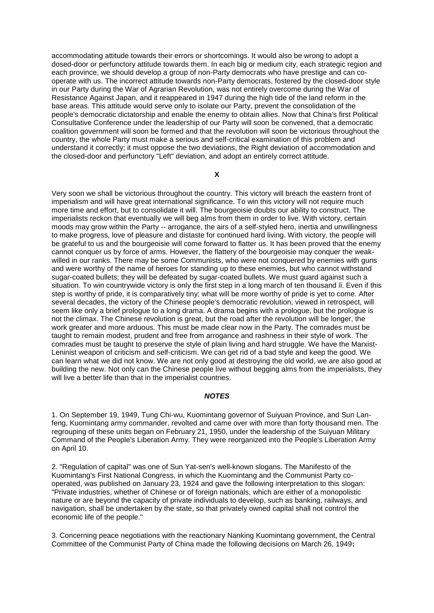accommodating attitude towards their errors or shortcomings. It would also be wrong to adopt a dosed-door or perfunctory attitude towards them. In each big or medium city, each strategic region and each province, we should develop a group of non-Party democrats who have prestige and can cooperate with us. The incorrect attitude towards non-Party democrats, fostered by the closed-door style in our Party during the War of Agrarian Revolution, was not entirely overcome during the War of Resistance Against Japan, and it reappeared in 1947 during the high tide of the land reform in the base areas. This attitude would serve only to isolate our Party, prevent the consolidation of the people's democratic dictatorship and enable the enemy to obtain allies. Now that China's first Political Consultative Conference under the leadership of our Party will soon be convened, that a democratic coalition government will soon be formed and that the revolution will soon be victorious throughout the country, the whole Party must make a serious and self-critical examination of this problem and understand it correctly; it must oppose the two deviations, the Right deviation of accommodation and the closed-door and perfunctory "Left" deviation, and adopt an entirely correct attitude.

**X**

Very soon we shall be victorious throughout the country. This victory will breach the eastern front of imperialism and will have great international significance. To win this victory will not require much more time and effort, but to consolidate it will. The bourgeoisie doubts our ability to construct. The imperialists reckon that eventually we will beg alms from them in order to live. With victory, certain moods may grow within the Party -- arrogance, the airs of a self-styled hero, inertia and unwillingness to make progress, love of pleasure and distaste for continued hard living. With victory, the people will be grateful to us and the bourgeoisie will come forward to flatter us. It has been proved that the enemy cannot conquer us by force of arms. However, the flattery of the bourgeoisie may conquer the weakwilled in our ranks. There may be some Communists, who were not conquered by enemies with guns and were worthy of the name of heroes for standing up to these enemies, but who cannot withstand sugar-coated bullets; they will be defeated by sugar-coated bullets. We must guard against such a situation. To win countrywide victory is only the first step in a long march of ten thousand *li*. Even if this step is worthy of pride, it is comparatively tiny; what will be more worthy of pride is yet to come. After several decades, the victory of the Chinese people's democratic revolution, viewed in retrospect, will seem like only a brief prologue to a long drama. A drama begins with a prologue, but the prologue is not the climax. The Chinese revolution is great, but the road after the revolution will be longer, the work greater and more arduous. This must be made clear now in the Party. The comrades must be taught to remain modest, prudent and free from arrogance and rashness in their style of work. The comrades must be taught to preserve the style of plain living and hard struggle. We have the Marxist-Leninist weapon of criticism and self-criticism. We can get rid of a bad style and keep the good. We can learn what we did not know. We are not only good at destroying the old world, we are also good at building the new. Not only can the Chinese people live without begging alms from the imperialists, they will live a better life than that in the imperialist countries.

# *NOTES*

1. On September 19, 1949, Tung Chi-wu, Kuomintang governor of Suiyuan Province, and Sun Lanfeng, Kuomintang army commander, revolted and came over with more than forty thousand men. The regrouping of these units began on February 21, 1950, under the leadership of the Suiyuan Military Command of the People's Liberation Army. They were reorganized into the People's Liberation Army on April 10.

2. "Regulation of capital" was one of Sun Yat-sen's well-known slogans. The Manifesto of the Kuomintang's First National Congress, in which the Kuomintang and the Communist Party cooperated, was published on January 23, 1924 and gave the following interpretation to this slogan: "Private industries, whether of Chinese or of foreign nationals, which are either of a monopolistic nature or are beyond the capacity of private individuals to develop, such as banking, railways, and navigation, shall be undertaken by the state, so that privately owned capital shall not control the economic life of the people."

3. Concerning peace negotiations with the reactionary Nanking Kuomintang government, the Central Committee of the Communist Party of China made the following decisions on March 26, 1949**:**